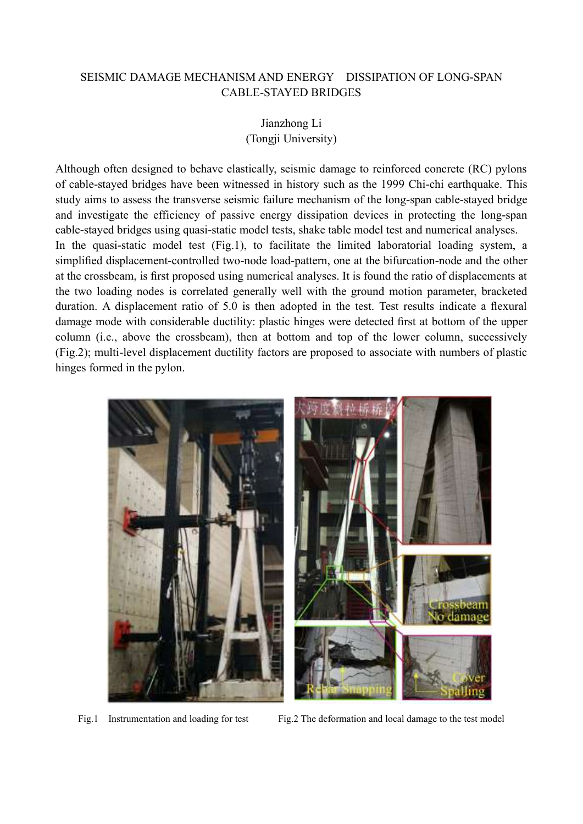## SEISMIC DAMAGE MECHANISM AND ENERGY DISSIPATION OF LONG-SPAN CABLE-STAYED BRIDGES

## Jianzhong Li (Tongji University)

Although often designed to behave elastically, seismic damage to reinforced concrete (RC) pylons of cable-stayed bridges have been witnessed in history such as the 1999 Chi-chi earthquake. This study aims to assess the transverse seismic failure mechanism of the long-span cable-stayed bridge and investigate the efficiency of passive energy dissipation devices in protecting the long-span cable-stayed bridges using quasi-static model tests, shake table model test and numerical analyses.

In the quasi-static model test (Fig.1), to facilitate the limited laboratorial loading system, a simplified displacement-controlled two-node load-pattern, one at the bifurcation-node and the other at the crossbeam, is first proposed using numerical analyses. It is found the ratio of displacements at the two loading nodes is correlated generally well with the ground motion parameter, bracketed duration. A displacement ratio of 5.0 is then adopted in the test. Test results indicate a flexural damage mode with considerable ductility: plastic hinges were detected first at bottom of the upper column (i.e., above the crossbeam), then at bottom and top of the lower column, successively (Fig.2); multi-level displacement ductility factors are proposed to associate with numbers of plastic hinges formed in the pylon.



Fig.1 Instrumentation and loading for test Fig.2 The deformation and local damage to the test model